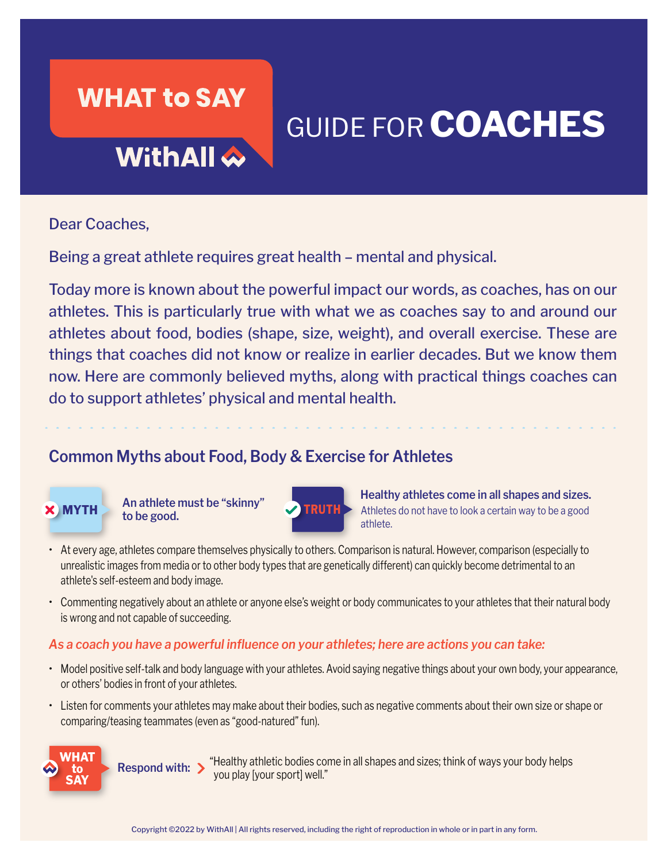## **WHAT to SAY**

# GUIDE FOR **COACHES**

## WithAll &

Dear Coaches,

Being a great athlete requires great health – mental and physical.

Today more is known about the powerful impact our words, as coaches, has on our athletes. This is particularly true with what we as coaches say to and around our athletes about food, bodies (shape, size, weight), and overall exercise. These are things that coaches did not know or realize in earlier decades. But we know them now. Here are commonly believed myths, along with practical things coaches can do to support athletes' physical and mental health.

### **Common Myths about Food, Body & Exercise for Athletes**



**WHAT to SAY**

**to be good.**



**Healthy athletes come in all shapes and sizes. An athlete must be "skinny"**  Athletes do not have to look a certain way to be a good athlete.

- At every age, athletes compare themselves physically to others. Comparison is natural. However, comparison (especially to unrealistic images from media or to other body types that are genetically different) can quickly become detrimental to an athlete's self-esteem and body image.
- Commenting negatively about an athlete or anyone else's weight or body communicates to your athletes that their natural body is wrong and not capable of succeeding.

#### *As a coach you have a powerful influence on your athletes; here are actions you can take:*

- Model positive self-talk and body language with your athletes. Avoid saying negative things about your own body, your appearance, or others' bodies in front of your athletes.
- Listen for comments your athletes may make about their bodies, such as negative comments about their own size or shape or comparing/teasing teammates (even as "good-natured" fun).

**Respond with:** 

 "Healthy athletic bodies come in all shapes and sizes; think of ways your body helps you play [your sport] well."